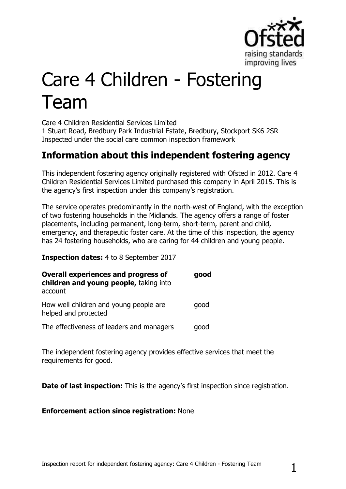

# Care 4 Children - Fostering Team

Care 4 Children Residential Services Limited

1 Stuart Road, Bredbury Park Industrial Estate, Bredbury, Stockport SK6 2SR Inspected under the social care common inspection framework

## **Information about this independent fostering agency**

This independent fostering agency originally registered with Ofsted in 2012. Care 4 Children Residential Services Limited purchased this company in April 2015. This is the agency's first inspection under this company's registration.

The service operates predominantly in the north-west of England, with the exception of two fostering households in the Midlands. The agency offers a range of foster placements, including permanent, long-term, short-term, parent and child, emergency, and therapeutic foster care. At the time of this inspection, the agency has 24 fostering households, who are caring for 44 children and young people.

**Inspection dates:** 4 to 8 September 2017

| <b>Overall experiences and progress of</b><br>children and young people, taking into | good |
|--------------------------------------------------------------------------------------|------|
| account                                                                              |      |
| How well children and young people are<br>helped and protected                       | qood |
| The effectiveness of leaders and managers                                            | qood |

The independent fostering agency provides effective services that meet the requirements for good.

**Date of last inspection:** This is the agency's first inspection since registration.

#### **Enforcement action since registration:** None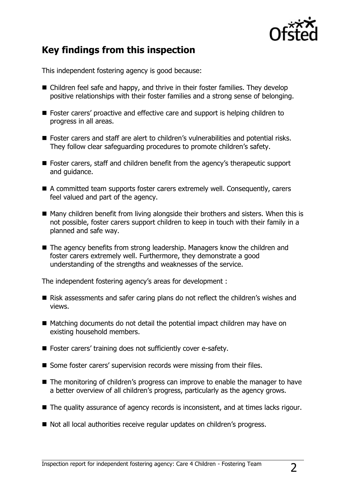

## **Key findings from this inspection**

This independent fostering agency is good because:

- Children feel safe and happy, and thrive in their foster families. They develop positive relationships with their foster families and a strong sense of belonging.
- Foster carers' proactive and effective care and support is helping children to progress in all areas.
- Foster carers and staff are alert to children's vulnerabilities and potential risks. They follow clear safeguarding procedures to promote children's safety.
- Foster carers, staff and children benefit from the agency's therapeutic support and guidance.
- A committed team supports foster carers extremely well. Consequently, carers feel valued and part of the agency.
- Many children benefit from living alongside their brothers and sisters. When this is not possible, foster carers support children to keep in touch with their family in a planned and safe way.
- The agency benefits from strong leadership. Managers know the children and foster carers extremely well. Furthermore, they demonstrate a good understanding of the strengths and weaknesses of the service.

The independent fostering agency's areas for development :

- Risk assessments and safer caring plans do not reflect the children's wishes and views.
- Matching documents do not detail the potential impact children may have on existing household members.
- Foster carers' training does not sufficiently cover e-safety.
- Some foster carers' supervision records were missing from their files.
- The monitoring of children's progress can improve to enable the manager to have a better overview of all children's progress, particularly as the agency grows.
- The quality assurance of agency records is inconsistent, and at times lacks rigour.
- Not all local authorities receive regular updates on children's progress.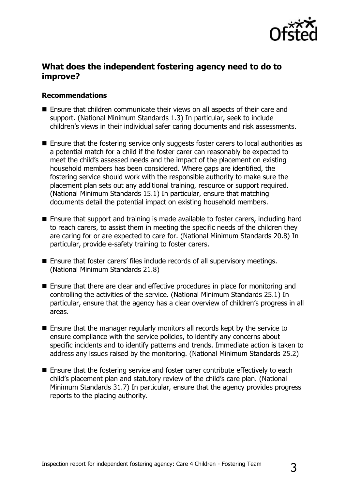

### **What does the independent fostering agency need to do to improve?**

#### **Recommendations**

- Ensure that children communicate their views on all aspects of their care and support. (National Minimum Standards 1.3) In particular, seek to include children's views in their individual safer caring documents and risk assessments.
- Ensure that the fostering service only suggests foster carers to local authorities as a potential match for a child if the foster carer can reasonably be expected to meet the child's assessed needs and the impact of the placement on existing household members has been considered. Where gaps are identified, the fostering service should work with the responsible authority to make sure the placement plan sets out any additional training, resource or support required. (National Minimum Standards 15.1) In particular, ensure that matching documents detail the potential impact on existing household members.
- Ensure that support and training is made available to foster carers, including hard to reach carers, to assist them in meeting the specific needs of the children they are caring for or are expected to care for. (National Minimum Standards 20.8) In particular, provide e-safety training to foster carers.
- Ensure that foster carers' files include records of all supervisory meetings. (National Minimum Standards 21.8)
- Ensure that there are clear and effective procedures in place for monitoring and controlling the activities of the service. (National Minimum Standards 25.1) In particular, ensure that the agency has a clear overview of children's progress in all areas.
- Ensure that the manager regularly monitors all records kept by the service to ensure compliance with the service policies, to identify any concerns about specific incidents and to identify patterns and trends. Immediate action is taken to address any issues raised by the monitoring. (National Minimum Standards 25.2)
- Ensure that the fostering service and foster carer contribute effectively to each child's placement plan and statutory review of the child's care plan. (National Minimum Standards 31.7) In particular, ensure that the agency provides progress reports to the placing authority.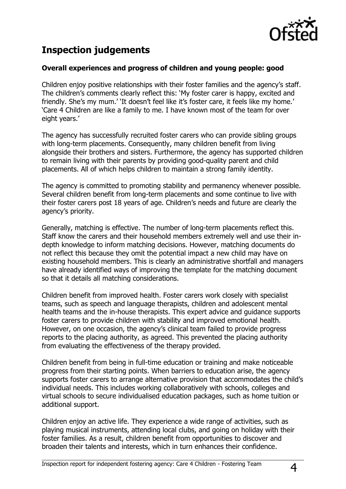

# **Inspection judgements**

#### **Overall experiences and progress of children and young people: good**

Children enjoy positive relationships with their foster families and the agency's staff. The children's comments clearly reflect this: 'My foster carer is happy, excited and friendly. She's my mum.' 'It doesn't feel like it's foster care, it feels like my home.' 'Care 4 Children are like a family to me. I have known most of the team for over eight years.'

The agency has successfully recruited foster carers who can provide sibling groups with long-term placements. Consequently, many children benefit from living alongside their brothers and sisters. Furthermore, the agency has supported children to remain living with their parents by providing good-quality parent and child placements. All of which helps children to maintain a strong family identity.

The agency is committed to promoting stability and permanency whenever possible. Several children benefit from long-term placements and some continue to live with their foster carers post 18 years of age. Children's needs and future are clearly the agency's priority.

Generally, matching is effective. The number of long-term placements reflect this. Staff know the carers and their household members extremely well and use their indepth knowledge to inform matching decisions. However, matching documents do not reflect this because they omit the potential impact a new child may have on existing household members. This is clearly an administrative shortfall and managers have already identified ways of improving the template for the matching document so that it details all matching considerations.

Children benefit from improved health. Foster carers work closely with specialist teams, such as speech and language therapists, children and adolescent mental health teams and the in-house therapists. This expert advice and guidance supports foster carers to provide children with stability and improved emotional health. However, on one occasion, the agency's clinical team failed to provide progress reports to the placing authority, as agreed. This prevented the placing authority from evaluating the effectiveness of the therapy provided.

Children benefit from being in full-time education or training and make noticeable progress from their starting points. When barriers to education arise, the agency supports foster carers to arrange alternative provision that accommodates the child's individual needs. This includes working collaboratively with schools, colleges and virtual schools to secure individualised education packages, such as home tuition or additional support.

Children enjoy an active life. They experience a wide range of activities, such as playing musical instruments, attending local clubs, and going on holiday with their foster families. As a result, children benefit from opportunities to discover and broaden their talents and interests, which in turn enhances their confidence.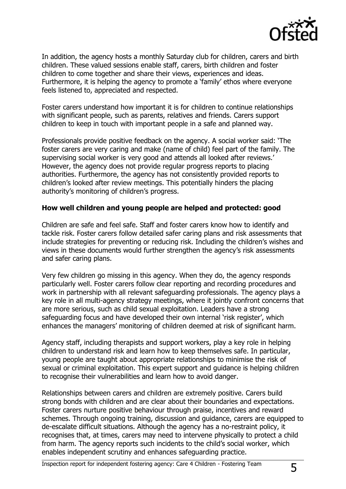

In addition, the agency hosts a monthly Saturday club for children, carers and birth children. These valued sessions enable staff, carers, birth children and foster children to come together and share their views, experiences and ideas. Furthermore, it is helping the agency to promote a 'family' ethos where everyone feels listened to, appreciated and respected.

Foster carers understand how important it is for children to continue relationships with significant people, such as parents, relatives and friends. Carers support children to keep in touch with important people in a safe and planned way.

Professionals provide positive feedback on the agency. A social worker said: 'The foster carers are very caring and make (name of child) feel part of the family. The supervising social worker is very good and attends all looked after reviews.' However, the agency does not provide regular progress reports to placing authorities. Furthermore, the agency has not consistently provided reports to children's looked after review meetings. This potentially hinders the placing authority's monitoring of children's progress.

#### **How well children and young people are helped and protected: good**

Children are safe and feel safe. Staff and foster carers know how to identify and tackle risk. Foster carers follow detailed safer caring plans and risk assessments that include strategies for preventing or reducing risk. Including the children's wishes and views in these documents would further strengthen the agency's risk assessments and safer caring plans.

Very few children go missing in this agency. When they do, the agency responds particularly well. Foster carers follow clear reporting and recording procedures and work in partnership with all relevant safeguarding professionals. The agency plays a key role in all multi-agency strategy meetings, where it jointly confront concerns that are more serious, such as child sexual exploitation. Leaders have a strong safeguarding focus and have developed their own internal 'risk register', which enhances the managers' monitoring of children deemed at risk of significant harm.

Agency staff, including therapists and support workers, play a key role in helping children to understand risk and learn how to keep themselves safe. In particular, young people are taught about appropriate relationships to minimise the risk of sexual or criminal exploitation. This expert support and guidance is helping children to recognise their vulnerabilities and learn how to avoid danger.

Relationships between carers and children are extremely positive. Carers build strong bonds with children and are clear about their boundaries and expectations. Foster carers nurture positive behaviour through praise, incentives and reward schemes. Through ongoing training, discussion and guidance, carers are equipped to de-escalate difficult situations. Although the agency has a no-restraint policy, it recognises that, at times, carers may need to intervene physically to protect a child from harm. The agency reports such incidents to the child's social worker, which enables independent scrutiny and enhances safeguarding practice.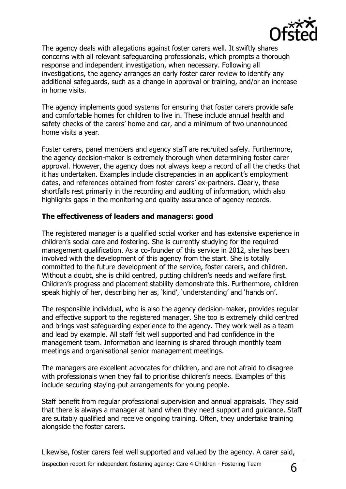

The agency deals with allegations against foster carers well. It swiftly shares concerns with all relevant safeguarding professionals, which prompts a thorough response and independent investigation, when necessary. Following all investigations, the agency arranges an early foster carer review to identify any additional safeguards, such as a change in approval or training, and/or an increase in home visits.

The agency implements good systems for ensuring that foster carers provide safe and comfortable homes for children to live in. These include annual health and safety checks of the carers' home and car, and a minimum of two unannounced home visits a year.

Foster carers, panel members and agency staff are recruited safely. Furthermore, the agency decision-maker is extremely thorough when determining foster carer approval. However, the agency does not always keep a record of all the checks that it has undertaken. Examples include discrepancies in an applicant's employment dates, and references obtained from foster carers' ex-partners. Clearly, these shortfalls rest primarily in the recording and auditing of information, which also highlights gaps in the monitoring and quality assurance of agency records.

#### **The effectiveness of leaders and managers: good**

The registered manager is a qualified social worker and has extensive experience in children's social care and fostering. She is currently studying for the required management qualification. As a co-founder of this service in 2012, she has been involved with the development of this agency from the start. She is totally committed to the future development of the service, foster carers, and children. Without a doubt, she is child centred, putting children's needs and welfare first. Children's progress and placement stability demonstrate this. Furthermore, children speak highly of her, describing her as, 'kind', 'understanding' and 'hands on'.

The responsible individual, who is also the agency decision-maker, provides regular and effective support to the registered manager. She too is extremely child centred and brings vast safeguarding experience to the agency. They work well as a team and lead by example. All staff felt well supported and had confidence in the management team. Information and learning is shared through monthly team meetings and organisational senior management meetings.

The managers are excellent advocates for children, and are not afraid to disagree with professionals when they fail to prioritise children's needs. Examples of this include securing staying-put arrangements for young people.

Staff benefit from regular professional supervision and annual appraisals. They said that there is always a manager at hand when they need support and guidance. Staff are suitably qualified and receive ongoing training. Often, they undertake training alongside the foster carers.

Likewise, foster carers feel well supported and valued by the agency. A carer said,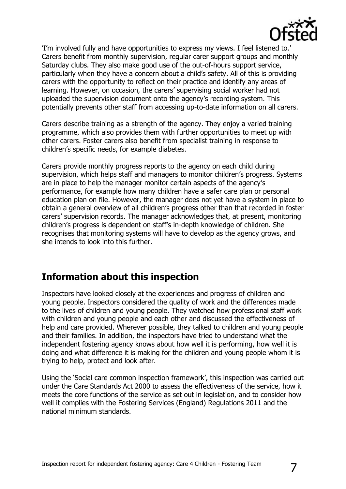

'I'm involved fully and have opportunities to express my views. I feel listened to.' Carers benefit from monthly supervision, regular carer support groups and monthly Saturday clubs. They also make good use of the out-of-hours support service, particularly when they have a concern about a child's safety. All of this is providing carers with the opportunity to reflect on their practice and identify any areas of learning. However, on occasion, the carers' supervising social worker had not uploaded the supervision document onto the agency's recording system. This potentially prevents other staff from accessing up-to-date information on all carers.

Carers describe training as a strength of the agency. They enjoy a varied training programme, which also provides them with further opportunities to meet up with other carers. Foster carers also benefit from specialist training in response to children's specific needs, for example diabetes.

Carers provide monthly progress reports to the agency on each child during supervision, which helps staff and managers to monitor children's progress. Systems are in place to help the manager monitor certain aspects of the agency's performance, for example how many children have a safer care plan or personal education plan on file. However, the manager does not yet have a system in place to obtain a general overview of all children's progress other than that recorded in foster carers' supervision records. The manager acknowledges that, at present, monitoring children's progress is dependent on staff's in-depth knowledge of children. She recognises that monitoring systems will have to develop as the agency grows, and she intends to look into this further.

## **Information about this inspection**

Inspectors have looked closely at the experiences and progress of children and young people. Inspectors considered the quality of work and the differences made to the lives of children and young people. They watched how professional staff work with children and young people and each other and discussed the effectiveness of help and care provided. Wherever possible, they talked to children and young people and their families. In addition, the inspectors have tried to understand what the independent fostering agency knows about how well it is performing, how well it is doing and what difference it is making for the children and young people whom it is trying to help, protect and look after.

Using the 'Social care common inspection framework', this inspection was carried out under the Care Standards Act 2000 to assess the effectiveness of the service, how it meets the core functions of the service as set out in legislation, and to consider how well it complies with the Fostering Services (England) Regulations 2011 and the national minimum standards.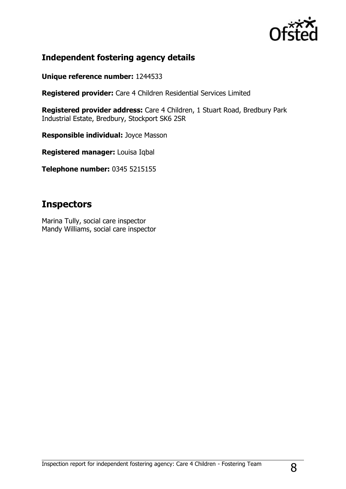

## **Independent fostering agency details**

**Unique reference number:** 1244533

**Registered provider:** Care 4 Children Residential Services Limited

**Registered provider address:** Care 4 Children, 1 Stuart Road, Bredbury Park Industrial Estate, Bredbury, Stockport SK6 2SR

**Responsible individual:** Joyce Masson

**Registered manager:** Louisa Iqbal

**Telephone number:** 0345 5215155

## **Inspectors**

Marina Tully, social care inspector Mandy Williams, social care inspector